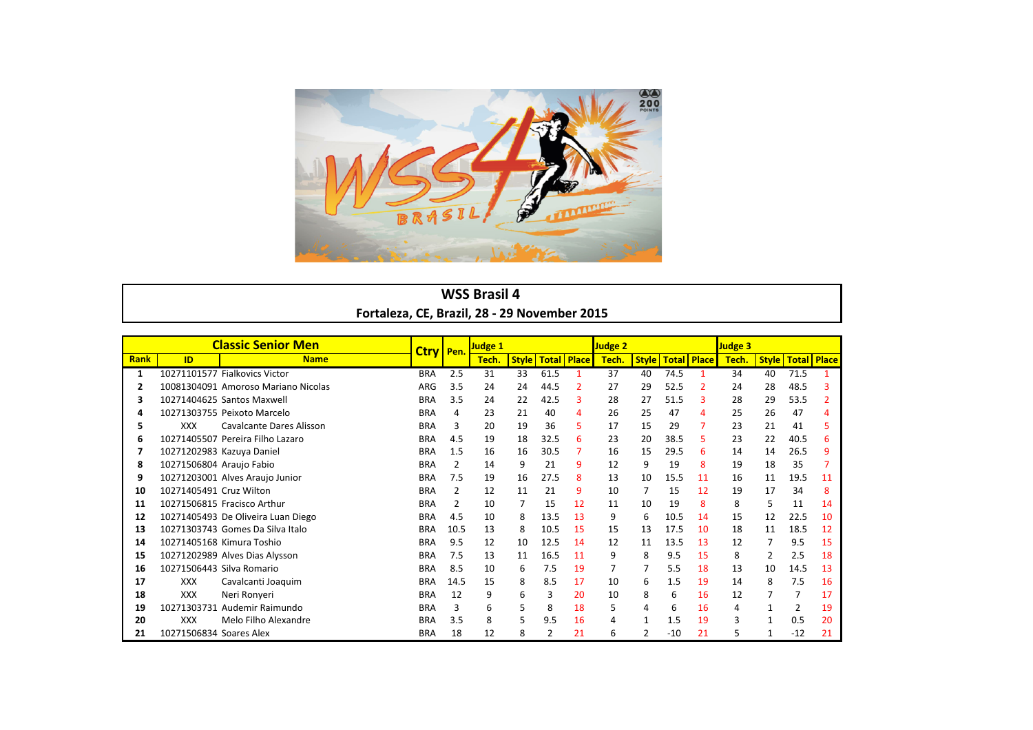

## **WSS Brasil 4** Fortaleza, CE, Brazil, 28 - 29 November 2015

|             |                           | <b>Classic Senior Men</b>           | Ctry   Pen. |      | Judge 1 |              |                    |                | Judge 2 |                |       |                              | Judge 3 |    |                       |    |
|-------------|---------------------------|-------------------------------------|-------------|------|---------|--------------|--------------------|----------------|---------|----------------|-------|------------------------------|---------|----|-----------------------|----|
| <b>Rank</b> | ID                        | <b>Name</b>                         |             |      | Tech.   | <b>Style</b> | <b>Total Place</b> |                | Tech.   |                |       | <b>Style   Total   Place</b> | Tech.   |    | Style   Total   Place |    |
| 1           |                           | 10271101577 Fialkovics Victor       | <b>BRA</b>  | 2.5  | 31      | 33           | 61.5               | 1              | 37      | 40             | 74.5  | 1                            | 34      | 40 | 71.5                  |    |
| 2           |                           | 10081304091 Amoroso Mariano Nicolas | ARG         | 3.5  | 24      | 24           | 44.5               | $\overline{2}$ | 27      | 29             | 52.5  | $\overline{2}$               | 24      | 28 | 48.5                  | 3  |
| 3           |                           | 10271404625 Santos Maxwell          | <b>BRA</b>  | 3.5  | 24      | 22           | 42.5               | З              | 28      | 27             | 51.5  | 3                            | 28      | 29 | 53.5                  |    |
| 4           |                           | 10271303755 Peixoto Marcelo         | <b>BRA</b>  | 4    | 23      | 21           | 40                 | 4              | 26      | 25             | 47    | 4                            | 25      | 26 | 47                    |    |
| 5           | <b>XXX</b>                | Cavalcante Dares Alisson            | <b>BRA</b>  | 3    | 20      | 19           | 36                 | 5              | 17      | 15             | 29    | $\overline{7}$               | 23      | 21 | 41                    |    |
| 6           |                           | 10271405507 Pereira Filho Lazaro    | <b>BRA</b>  | 4.5  | 19      | 18           | 32.5               | 6              | 23      | 20             | 38.5  | 5                            | 23      | 22 | 40.5                  | 6  |
| 7           |                           | 10271202983 Kazuya Daniel           | <b>BRA</b>  | 1.5  | 16      | 16           | 30.5               | 7              | 16      | 15             | 29.5  | 6                            | 14      | 14 | 26.5                  | q  |
| 8           | 10271506804 Araujo Fabio  |                                     | <b>BRA</b>  | 2    | 14      | 9            | 21                 | 9              | 12      | 9              | 19    | 8                            | 19      | 18 | 35                    |    |
| 9           |                           | 10271203001 Alves Araujo Junior     | <b>BRA</b>  | 7.5  | 19      | 16           | 27.5               | 8              | 13      | 10             | 15.5  | 11                           | 16      | 11 | 19.5                  | 11 |
| 10          | 10271405491 Cruz Wilton   |                                     | <b>BRA</b>  | 2    | 12      | 11           | 21                 | 9              | 10      | 7              | 15    | 12                           | 19      | 17 | 34                    | 8  |
| 11          |                           | 10271506815 Fracisco Arthur         | <b>BRA</b>  | 2    | 10      | 7            | 15                 | 12             | 11      | 10             | 19    | 8                            | 8       | 5  | 11                    | 14 |
| 12          |                           | 10271405493 De Oliveira Luan Diego  | <b>BRA</b>  | 4.5  | 10      | 8            | 13.5               | 13             | 9       | 6              | 10.5  | 14                           | 15      | 12 | 22.5                  | 10 |
| 13          |                           | 10271303743 Gomes Da Silva Italo    | <b>BRA</b>  | 10.5 | 13      | 8            | 10.5               | 15             | 15      | 13             | 17.5  | 10                           | 18      | 11 | 18.5                  | 12 |
| 14          |                           | 10271405168 Kimura Toshio           | <b>BRA</b>  | 9.5  | 12      | 10           | 12.5               | 14             | 12      | 11             | 13.5  | 13                           | 12      |    | 9.5                   | 15 |
| 15          |                           | 10271202989 Alves Dias Alysson      | <b>BRA</b>  | 7.5  | 13      | 11           | 16.5               | 11             | 9       | 8              | 9.5   | 15                           | 8       | 2  | 2.5                   | 18 |
| 16          | 10271506443 Silva Romario |                                     | <b>BRA</b>  | 8.5  | 10      | 6            | 7.5                | 19             |         | 7              | 5.5   | 18                           | 13      | 10 | 14.5                  | 13 |
| 17          | <b>XXX</b>                | Cavalcanti Joaquim                  | <b>BRA</b>  | 14.5 | 15      | 8            | 8.5                | 17             | 10      | 6              | 1.5   | 19                           | 14      | 8  | 7.5                   | 16 |
| 18          | <b>XXX</b>                | Neri Ronyeri                        | <b>BRA</b>  | 12   | 9       | 6            | 3                  | 20             | 10      | 8              | 6     | 16                           | 12      |    | 7                     | 17 |
| 19          |                           | 10271303731 Audemir Raimundo        | <b>BRA</b>  | 3    | 6       | 5            | 8                  | 18             | 5       | 4              | 6     | 16                           | 4       |    | 2                     | 19 |
| 20          | <b>XXX</b>                | Melo Filho Alexandre                | <b>BRA</b>  | 3.5  | 8       | 5            | 9.5                | 16             | 4       | 1              | 1.5   | 19                           | 3       |    | 0.5                   | 20 |
| 21          | 10271506834 Soares Alex   |                                     | <b>BRA</b>  | 18   | 12      | 8            | 2                  | 21             | 6       | $\overline{2}$ | $-10$ | 21                           | 5.      | 1  | $-12$                 | 21 |